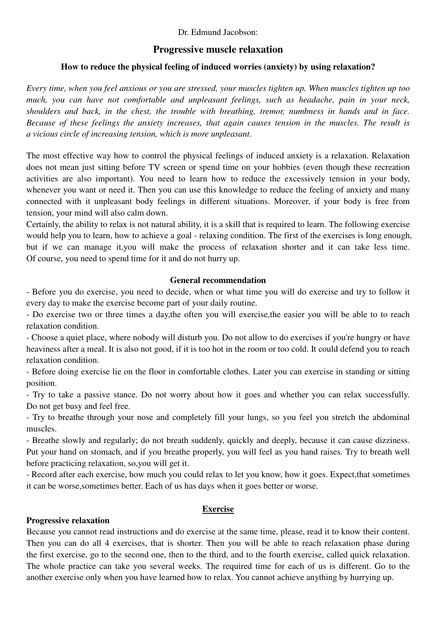### Dr. Edmund Jacobson:

# **Progressive muscle relaxation**

### **How to reduce the physical feeling of induced worries (anxiety) by using relaxation?**

*Every time, when you feel anxious or you are stressed, your muscles tighten up. When muscles tighten up too much, you can have not comfortable and unpleasant feelings, such as headache, pain in your neck, shoulders and back, in the chest, the trouble with breathing, tremor, numbness in hands and in face. Because of these feelings the anxiety increases, that again causes tension in the muscles. The result is a vicious circle of increasing tension, which is more unpleasant.* 

The most effective way how to control the physical feelings of induced anxiety is a relaxation. Relaxation does not mean just sitting before TV screen or spend time on your hobbies (even though these recreation activities are also important). You need to learn how to reduce the excessively tension in your body, whenever you want or need it. Then you can use this knowledge to reduce the feeling of anxiety and many connected with it unpleasant body feelings in different situations. Moreover, if your body is free from tension, your mind will also calm down.

Certainly, the ability to relax is not natural ability, it is a skill that is required to learn. The following exercise would help you to learn, how to achieve a goal - relaxing condition. The first of the exercises is long enough, but if we can manage it,you will make the process of relaxation shorter and it can take less time. Of course, you need to spend time for it and do not hurry up.

# **General recommendation**

- Before you do exercise, you need to decide, when or what time you will do exercise and try to follow it every day to make the exercise become part of your daily routine.

- Do exercise two or three times a day,the often you will exercise,the easier you will be able to to reach relaxation condition.

- Choose a quiet place, where nobody will disturb you. Do not allow to do exercises if you're hungry or have heaviness after a meal. It is also not good, if it is too hot in the room or too cold. It could defend you to reach relaxation condition.

- Before doing exercise lie on the floor in comfortable clothes. Later you can exercise in standing or sitting position.

- Try to take a passive stance. Do not worry about how it goes and whether you can relax successfully. Do not get busy and feel free.

- Try to breathe through your nose and completely fill your lungs, so you feel you stretch the abdominal muscles.

- Breathe slowly and regularly; do not breath suddenly, quickly and deeply, because it can cause dizziness. Put your hand on stomach, and if you breathe properly, you will feel as you hand raises. Try to breath well before practicing relaxation, so,you will get it.

- Record after each exercise, how much you could relax to let you know, how it goes. Expect,that sometimes it can be worse,sometimes better. Each of us has days when it goes better or worse.

#### **Exercise**

#### **Progressive relaxation**

Because you cannot read instructions and do exercise at the same time, please, read it to know their content. Then you can do all 4 exercises, that is shorter. Then you will be able to reach relaxation phase during the first exercise, go to the second one, then to the third, and to the fourth exercise, called quick relaxation. The whole practice can take you several weeks. The required time for each of us is different. Go to the another exercise only when you have learned how to relax. You cannot achieve anything by hurrying up.